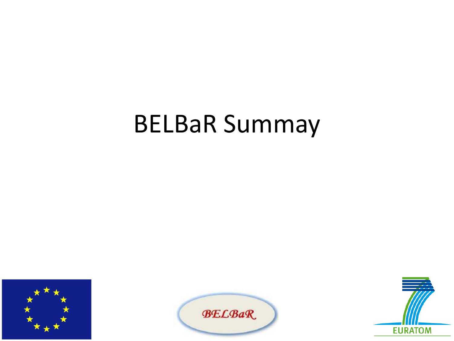## BELBaR Summay





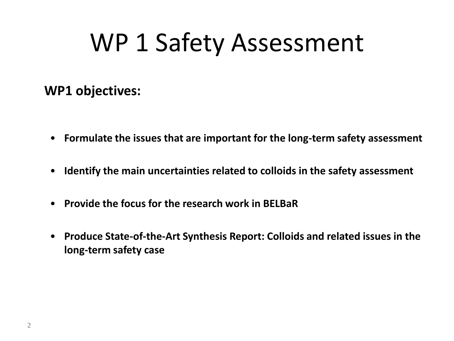## WP 1 Safety Assessment

### **WP1 objectives:**

- **Formulate the issues that are important for the long-term safety assessment**
- **Identify the main uncertainties related to colloids in the safety assessment**
- **Provide the focus for the research work in BELBaR**
- **Produce State-of-the-Art Synthesis Report: Colloids and related issues in the long-term safety case**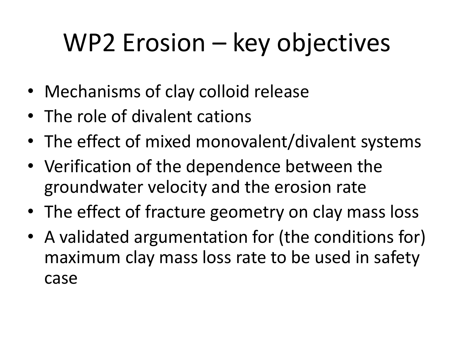# WP2 Erosion – key objectives

- Mechanisms of clay colloid release
- The role of divalent cations
- The effect of mixed monovalent/divalent systems
- Verification of the dependence between the groundwater velocity and the erosion rate
- The effect of fracture geometry on clay mass loss
- A validated argumentation for (the conditions for) maximum clay mass loss rate to be used in safety case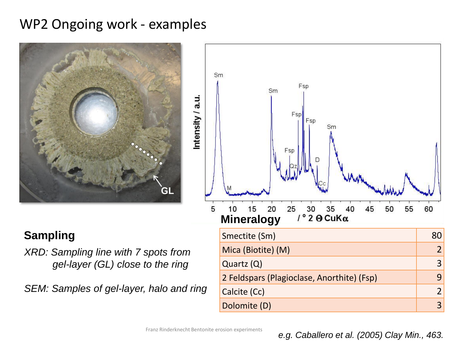### WP2 Ongoing work - examples



#### **Sampling**

*XRD: Sampling line with 7 spots from gel-layer (GL) close to the ring*

*SEM: Samples of gel-layer, halo and ring*



Franz Rinderknecht Bentonite erosion experiments

Dolomite (D) 3

#### *e.g. Caballero et al. (2005) Clay Min., 463.*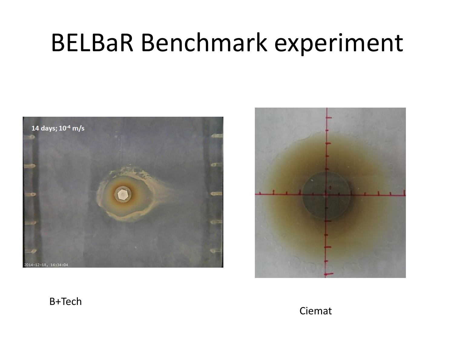## BELBaR Benchmark experiment





#### B+Tech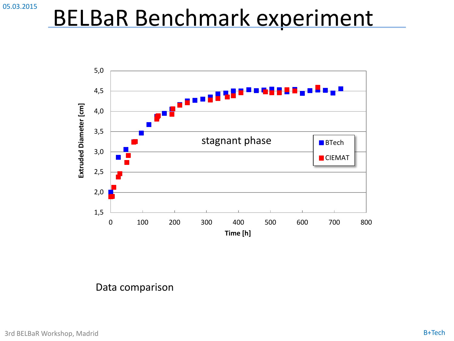## BELBaR Benchmark experiment



Data comparison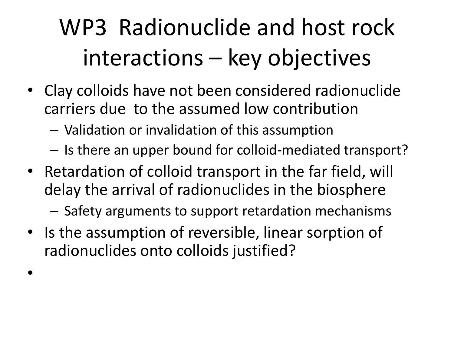## WP3 Radionuclide and host rock interactions – key objectives

- Clay colloids have not been considered radionuclide carriers due to the assumed low contribution
	- Validation or invalidation of this assumption
	- Is there an upper bound for colloid-mediated transport?
- Retardation of colloid transport in the far field, will delay the arrival of radionuclides in the biosphere
	- Safety arguments to support retardation mechanisms
- Is the assumption of reversible, linear sorption of radionuclides onto colloids justified?

•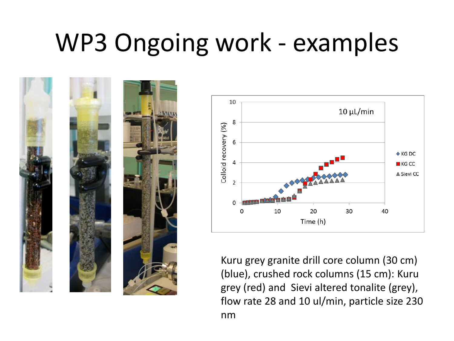# WP3 Ongoing work - examples





Kuru grey granite drill core column (30 cm) (blue), crushed rock columns (15 cm): Kuru grey (red) and Sievi altered tonalite (grey), flow rate 28 and 10 ul/min, particle size 230 nm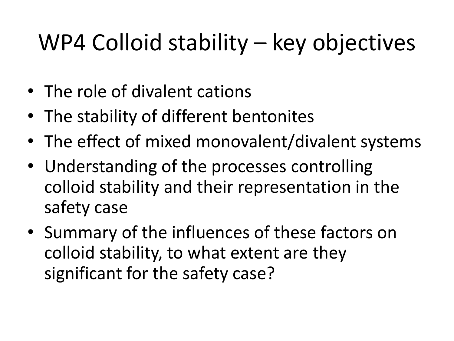## WP4 Colloid stability – key objectives

- The role of divalent cations
- The stability of different bentonites
- The effect of mixed monovalent/divalent systems
- Understanding of the processes controlling colloid stability and their representation in the safety case
- Summary of the influences of these factors on colloid stability, to what extent are they significant for the safety case?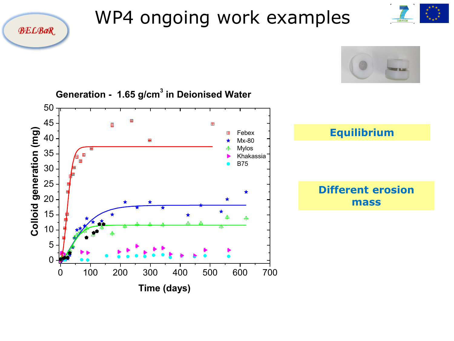

## WP4 ongoing work examples



EURATOM

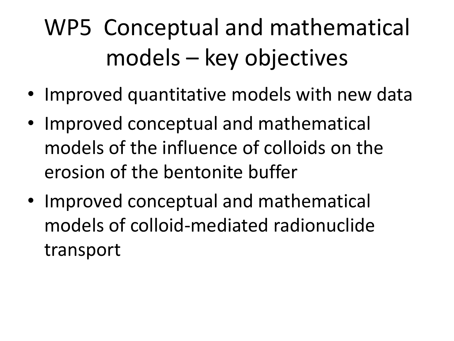## WP5 Conceptual and mathematical models – key objectives

- Improved quantitative models with new data
- Improved conceptual and mathematical models of the influence of colloids on the erosion of the bentonite buffer
- Improved conceptual and mathematical models of colloid-mediated radionuclide transport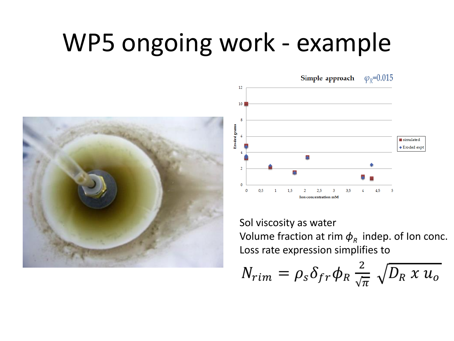## WP5 ongoing work - example





Sol viscosity as water Volume fraction at rim  $\boldsymbol{\phi}_{\mathsf{R}}^{\vphantom{\dag}}$  indep. of Ion conc. Loss rate expression simplifies to

$$
N_{rim} = \rho_s \delta_{fr} \phi_R \frac{2}{\sqrt{\pi}} \sqrt{D_R \times u_o}
$$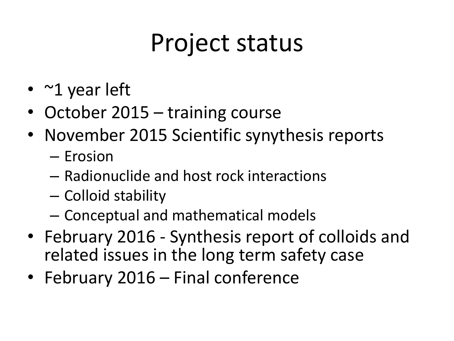# Project status

- ~1 year left
- October 2015 training course
- November 2015 Scientific synythesis reports
	- Erosion
	- Radionuclide and host rock interactions
	- Colloid stability
	- Conceptual and mathematical models
- February 2016 Synthesis report of colloids and related issues in the long term safety case
- February 2016 Final conference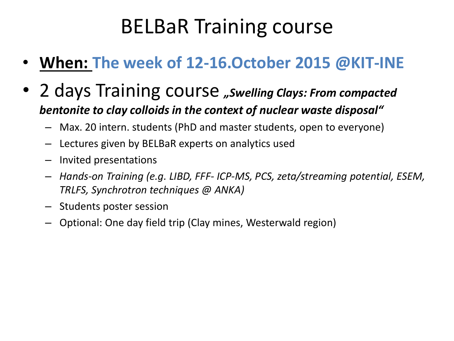## BELBaR Training course

- **When: The week of 12-16.October 2015 @KIT-INE**
- 2 days Training course *"Swelling Clays: From compacted bentonite to clay colloids in the context of nuclear waste disposal"* 
	- Max. 20 intern. students (PhD and master students, open to everyone)
	- Lectures given by BELBaR experts on analytics used
	- Invited presentations
	- *Hands-on Training (e.g. LIBD, FFF- ICP-MS, PCS, zeta/streaming potential, ESEM, TRLFS, Synchrotron techniques @ ANKA)*
	- Students poster session
	- Optional: One day field trip (Clay mines, Westerwald region)